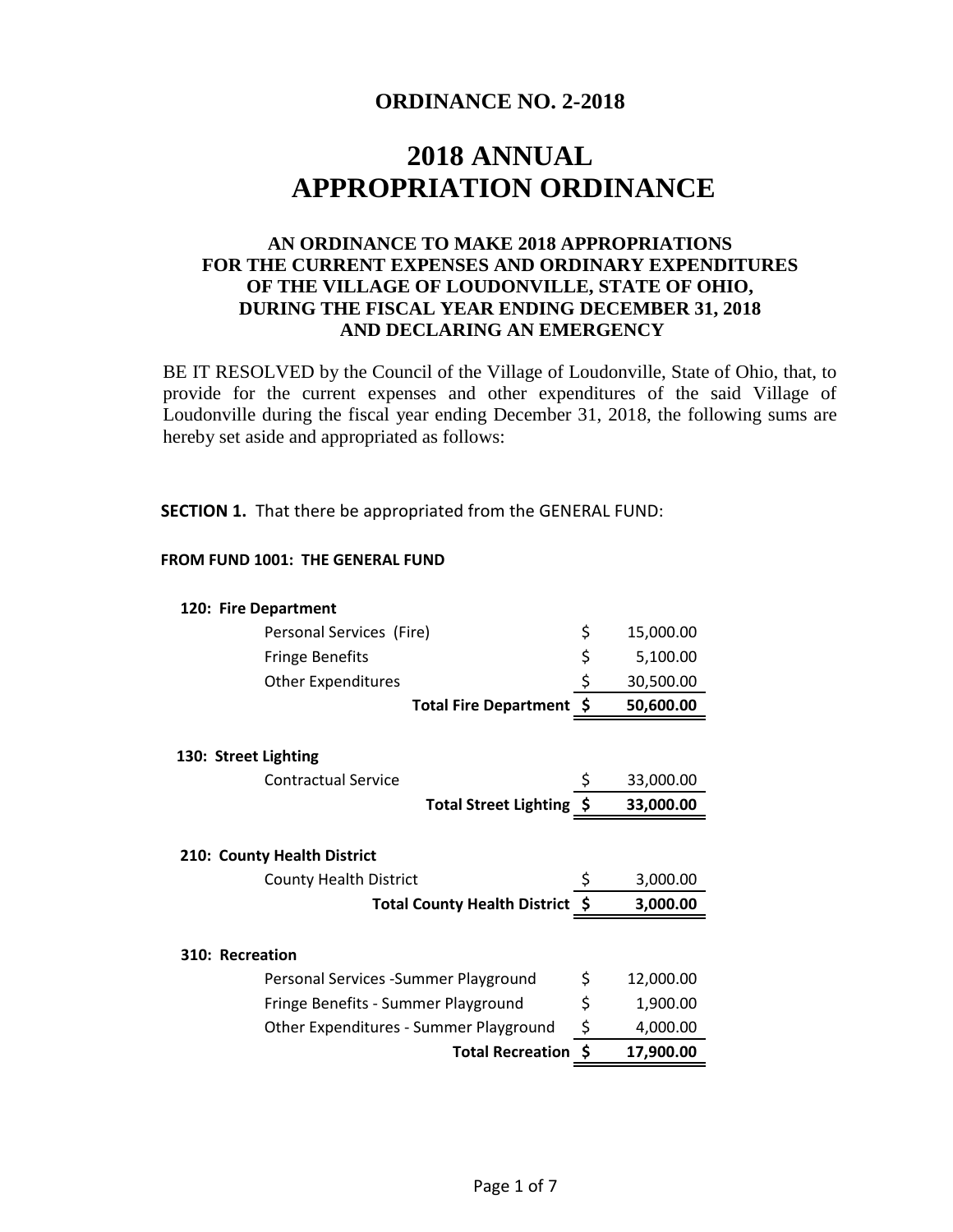# **ORDINANCE NO. 2-2018**

# **2018 ANNUAL APPROPRIATION ORDINANCE**

### **AN ORDINANCE TO MAKE 2018 APPROPRIATIONS FOR THE CURRENT EXPENSES AND ORDINARY EXPENDITURES OF THE VILLAGE OF LOUDONVILLE, STATE OF OHIO, DURING THE FISCAL YEAR ENDING DECEMBER 31, 2018 AND DECLARING AN EMERGENCY**

BE IT RESOLVED by the Council of the Village of Loudonville, State of Ohio, that, to provide for the current expenses and other expenditures of the said Village of Loudonville during the fiscal year ending December 31, 2018, the following sums are hereby set aside and appropriated as follows:

**SECTION 1.** That there be appropriated from the GENERAL FUND:

#### **FROM FUND 1001: THE GENERAL FUND**

### **120: Fire Department**

| Personal Services (Fire)               | \$<br>15,000.00 |
|----------------------------------------|-----------------|
| <b>Fringe Benefits</b>                 | \$<br>5,100.00  |
| <b>Other Expenditures</b>              | \$<br>30,500.00 |
| Total Fire Department \$               | 50,600.00       |
| 130: Street Lighting                   |                 |
| <b>Contractual Service</b>             | 33,000.00       |
| Total Street Lighting \$               | 33,000.00       |
|                                        |                 |
| 210: County Health District            |                 |
| <b>County Health District</b>          | \$<br>3,000.00  |
| Total County Health District \$        | 3,000.00        |
| 310: Recreation                        |                 |
| Personal Services - Summer Playground  | \$<br>12,000.00 |
| Fringe Benefits - Summer Playground    | \$<br>1,900.00  |
| Other Expenditures - Summer Playground | \$<br>4,000.00  |
| <b>Total Recreation</b>                | \$<br>17,900.00 |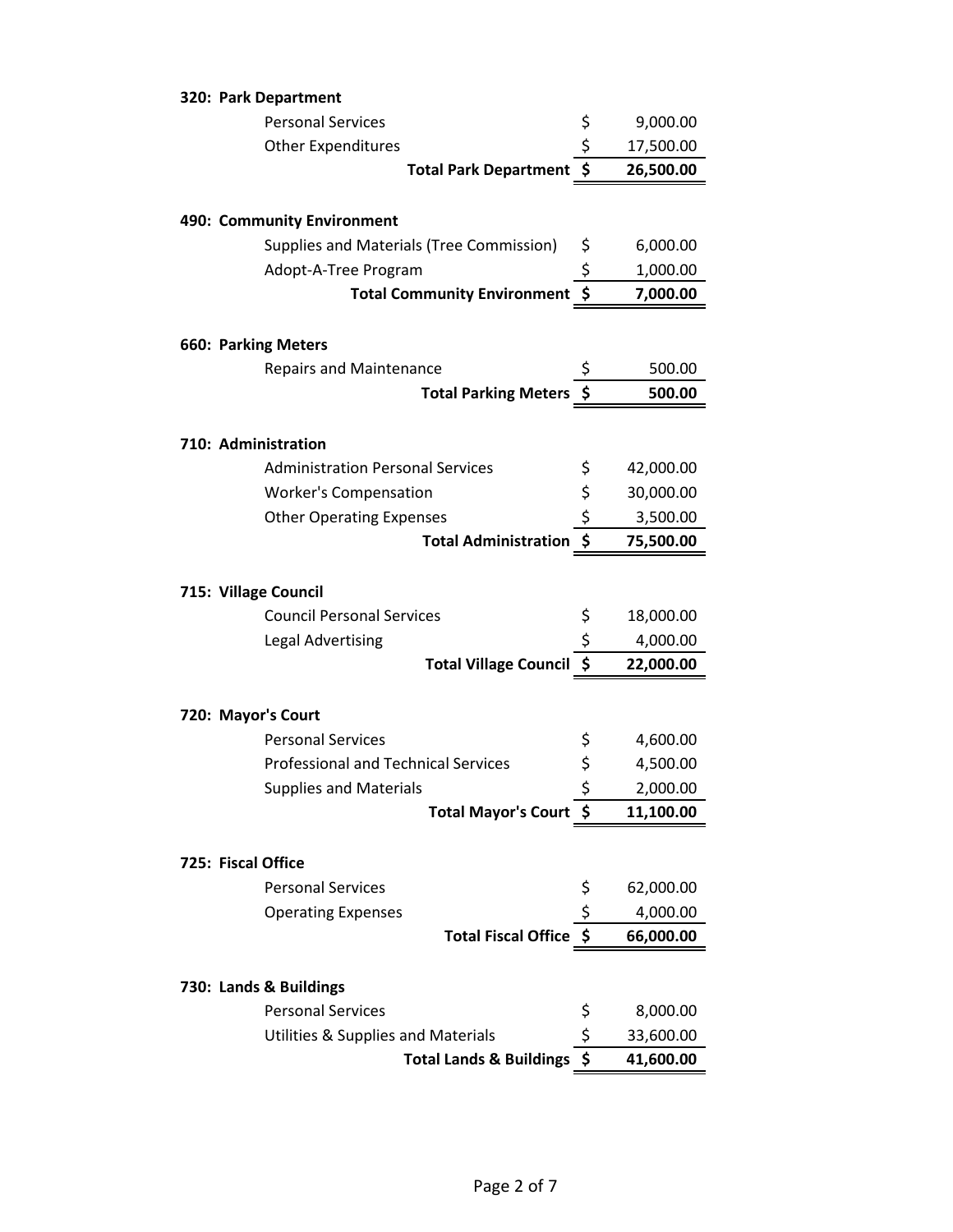| 320: Park Department                       |                                 |           |
|--------------------------------------------|---------------------------------|-----------|
| <b>Personal Services</b>                   | \$                              | 9,000.00  |
| <b>Other Expenditures</b>                  | \$                              | 17,500.00 |
| <b>Total Park Department</b>               | \$                              | 26,500.00 |
| 490: Community Environment                 |                                 |           |
| Supplies and Materials (Tree Commission)   | \$                              | 6,000.00  |
| Adopt-A-Tree Program                       | \$                              | 1,000.00  |
| <b>Total Community Environment</b>         | $\overline{\boldsymbol{\xi}}$   | 7,000.00  |
| <b>660: Parking Meters</b>                 |                                 |           |
| <b>Repairs and Maintenance</b>             |                                 | 500.00    |
| <b>Total Parking Meters</b>                |                                 | 500.00    |
|                                            |                                 |           |
| 710: Administration                        |                                 |           |
| <b>Administration Personal Services</b>    | \$                              | 42,000.00 |
| <b>Worker's Compensation</b>               | \$                              | 30,000.00 |
| <b>Other Operating Expenses</b>            | \$                              | 3,500.00  |
| <b>Total Administration</b>                | $\overline{\boldsymbol{\xi}}$   | 75,500.00 |
| 715: Village Council                       |                                 |           |
| <b>Council Personal Services</b>           | \$                              | 18,000.00 |
| <b>Legal Advertising</b>                   | \$                              | 4,000.00  |
| <b>Total Village Council</b>               | $\overline{\boldsymbol{\zeta}}$ | 22,000.00 |
| 720: Mayor's Court                         |                                 |           |
| <b>Personal Services</b>                   | \$                              | 4,600.00  |
| <b>Professional and Technical Services</b> | \$                              | 4,500.00  |
| <b>Supplies and Materials</b>              | \$                              | 2,000.00  |
| <b>Total Mayor's Court</b>                 | -\$                             | 11,100.00 |
| 725: Fiscal Office                         |                                 |           |
| <b>Personal Services</b>                   | \$                              | 62,000.00 |
| <b>Operating Expenses</b>                  | \$                              | 4,000.00  |
| <b>Total Fiscal Office</b>                 | - \$                            | 66,000.00 |
|                                            |                                 |           |
| 730: Lands & Buildings                     |                                 |           |
| <b>Personal Services</b>                   | \$                              | 8,000.00  |
| Utilities & Supplies and Materials         | \$<br>$\zeta$                   | 33,600.00 |
| <b>Total Lands &amp; Buildings</b>         |                                 | 41,600.00 |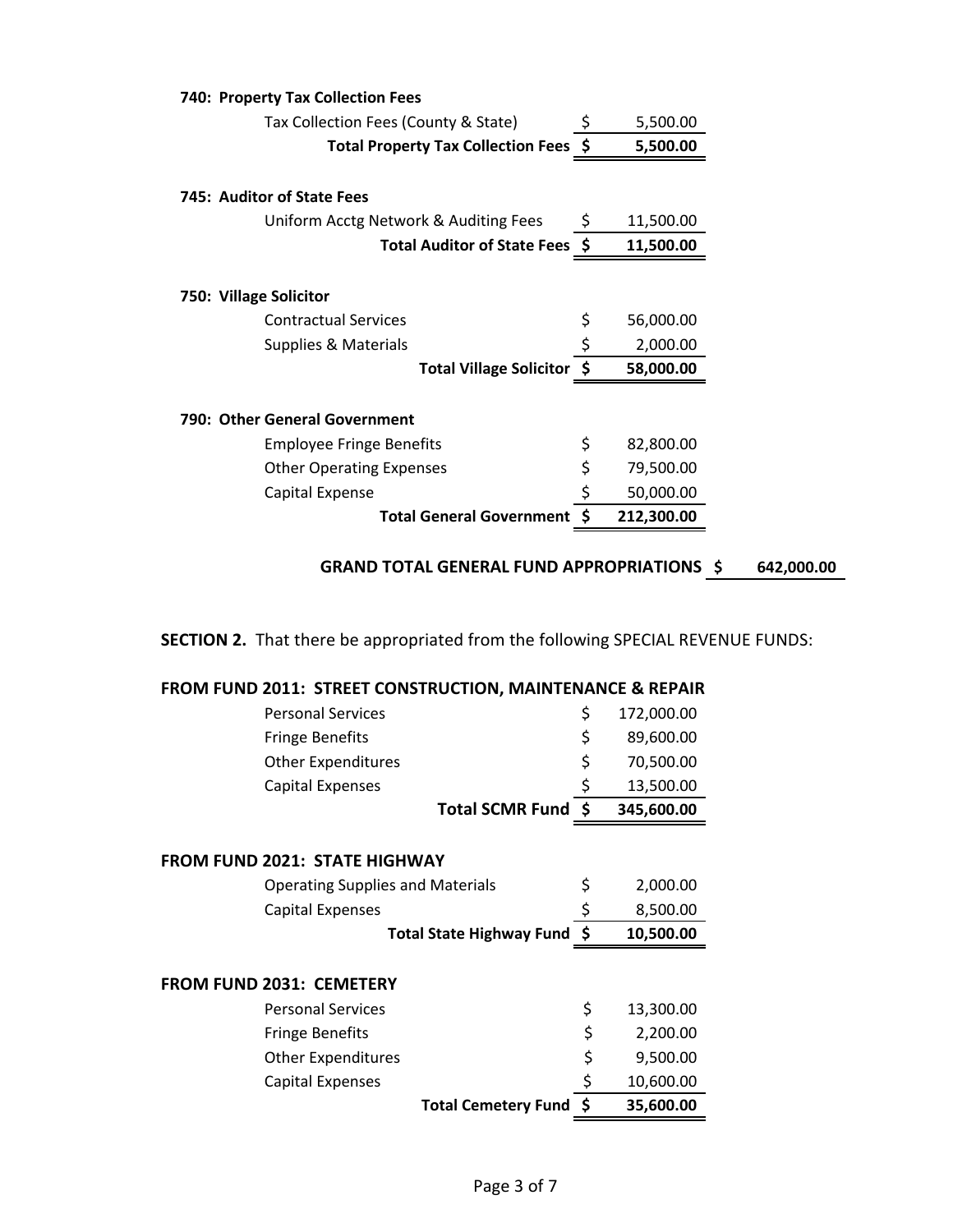| 740: Property Tax Collection Fees     |     |            |
|---------------------------------------|-----|------------|
| Tax Collection Fees (County & State)  |     | 5,500.00   |
| Total Property Tax Collection Fees \$ |     | 5,500.00   |
| 745: Auditor of State Fees            |     |            |
| Uniform Acctg Network & Auditing Fees | \$. | 11,500.00  |
| Total Auditor of State Fees \$        |     | 11,500.00  |
|                                       |     |            |
| 750: Village Solicitor                |     |            |
| <b>Contractual Services</b>           | \$  | 56,000.00  |
| Supplies & Materials                  | \$  | 2,000.00   |
| Total Village Solicitor \$            |     | 58,000.00  |
| 790: Other General Government         |     |            |
| <b>Employee Fringe Benefits</b>       | \$  | 82,800.00  |
| <b>Other Operating Expenses</b>       | \$  | 79,500.00  |
| Capital Expense                       | \$  | 50,000.00  |
| <b>Total General Government</b>       |     | 212,300.00 |

# **SECTION 2.** That there be appropriated from the following SPECIAL REVENUE FUNDS:

|  | <b>FROM FUND 2011: STREET CONSTRUCTION, MAINTENANCE &amp; REPAIR</b> |
|--|----------------------------------------------------------------------|
|  |                                                                      |

| <b>Personal Services</b>                | \$<br>172,000.00 |
|-----------------------------------------|------------------|
| <b>Fringe Benefits</b>                  | \$<br>89,600.00  |
| <b>Other Expenditures</b>               | \$<br>70,500.00  |
| <b>Capital Expenses</b>                 | \$<br>13,500.00  |
| Total SCMR Fund \$                      | 345,600.00       |
|                                         |                  |
| <b>FROM FUND 2021: STATE HIGHWAY</b>    |                  |
| <b>Operating Supplies and Materials</b> | \$<br>2,000.00   |
| <b>Capital Expenses</b>                 | \$<br>8,500.00   |
| Total State Highway Fund \$             | 10,500.00        |
|                                         |                  |
| <b>FROM FUND 2031: CEMETERY</b>         |                  |
| <b>Personal Services</b>                | \$<br>13,300.00  |
| <b>Fringe Benefits</b>                  | \$<br>2,200.00   |
| <b>Other Expenditures</b>               | \$<br>9,500.00   |
| <b>Capital Expenses</b>                 | \$<br>10,600.00  |
| Total Cemetery Fund \$                  | 35,600.00        |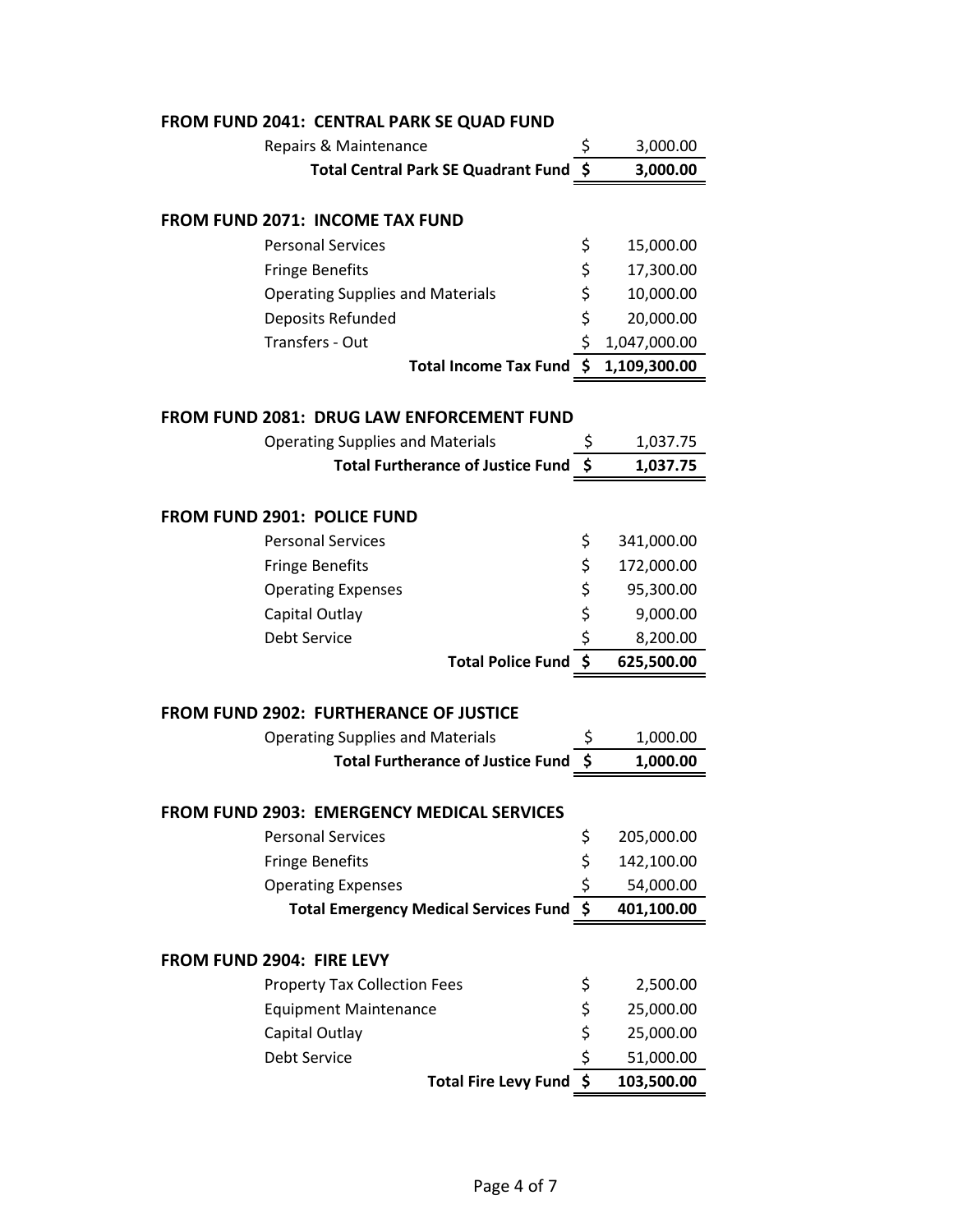| FROM FUND 2041: CENTRAL PARK SE QUAD FUND        |                     |              |
|--------------------------------------------------|---------------------|--------------|
| Repairs & Maintenance                            | \$                  | 3,000.00     |
| <b>Total Central Park SE Quadrant Fund</b>       | \$                  | 3,000.00     |
| <b>FROM FUND 2071: INCOME TAX FUND</b>           |                     |              |
| <b>Personal Services</b>                         | \$                  | 15,000.00    |
| <b>Fringe Benefits</b>                           | \$                  | 17,300.00    |
| <b>Operating Supplies and Materials</b>          | \$                  | 10,000.00    |
| Deposits Refunded                                | \$                  | 20,000.00    |
| Transfers - Out                                  | \$                  | 1,047,000.00 |
| Total Income Tax Fund \$                         |                     | 1,109,300.00 |
|                                                  |                     |              |
| <b>FROM FUND 2081: DRUG LAW ENFORCEMENT FUND</b> |                     |              |
| <b>Operating Supplies and Materials</b>          | \$                  | 1,037.75     |
| <b>Total Furtherance of Justice Fund</b>         | \$                  | 1,037.75     |
| <b>FROM FUND 2901: POLICE FUND</b>               |                     |              |
| <b>Personal Services</b>                         | \$                  | 341,000.00   |
| <b>Fringe Benefits</b>                           | \$                  | 172,000.00   |
| <b>Operating Expenses</b>                        | \$                  | 95,300.00    |
| Capital Outlay                                   | \$                  | 9,000.00     |
| Debt Service                                     | \$                  | 8,200.00     |
| <b>Total Police Fund</b>                         | \$                  | 625,500.00   |
|                                                  |                     |              |
| FROM FUND 2902: FURTHERANCE OF JUSTICE           |                     |              |
| <b>Operating Supplies and Materials</b>          |                     | 1,000.00     |
| <b>Total Furtherance of Justice Fund</b>         | \$                  | 1,000.00     |
| FROM FUND 2903: EMERGENCY MEDICAL SERVICES       |                     |              |
| <b>Personal Services</b>                         | \$                  | 205,000.00   |
| <b>Fringe Benefits</b>                           | \$                  | 142,100.00   |
| <b>Operating Expenses</b>                        | \$                  | 54,000.00    |
| <b>Total Emergency Medical Services Fund</b>     | $\ddot{\bm{\zeta}}$ | 401,100.00   |
|                                                  |                     |              |
| FROM FUND 2904: FIRE LEVY                        |                     |              |
| <b>Property Tax Collection Fees</b>              | \$                  | 2,500.00     |
| <b>Equipment Maintenance</b>                     | \$                  | 25,000.00    |
| Capital Outlay<br>Debt Service                   | \$<br>\$            | 25,000.00    |
|                                                  |                     | 51,000.00    |
| Total Fire Levy Fund \$                          |                     | 103,500.00   |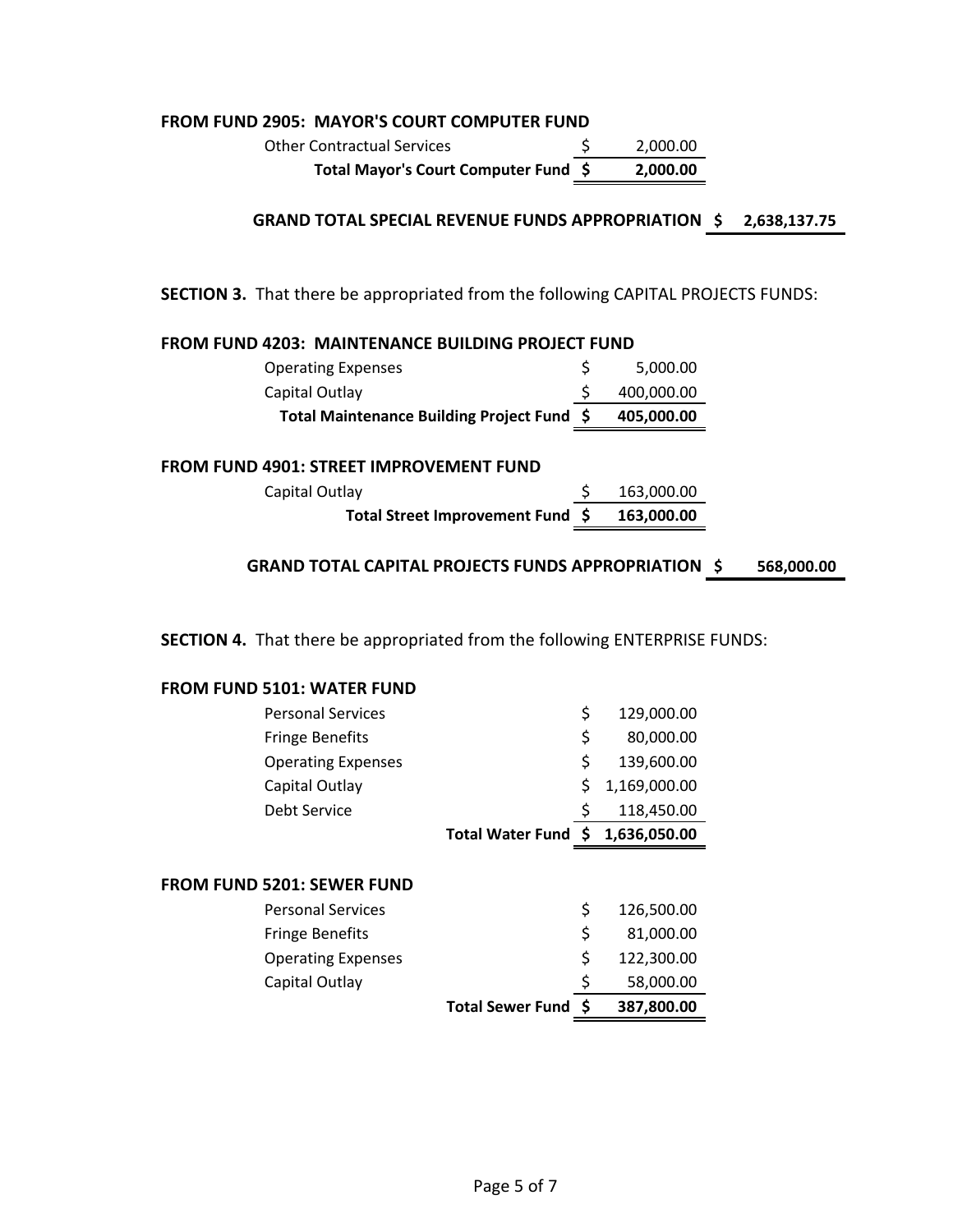#### **FROM FUND 2905: MAYOR'S COURT COMPUTER FUND**

Other Contractual Services  $\qquad \qquad$  \$ 2,000.00 **Total Mayor's Court Computer Fund \$ 2,000.00**

**\$ 2,638,137.75 GRAND TOTAL SPECIAL REVENUE FUNDS APPROPRIATION**

**SECTION 3.** That there be appropriated from the following CAPITAL PROJECTS FUNDS:

| <b>FROM FUND 4203: MAINTENANCE BUILDING PROJECT FUND</b><br><b>Operating Expenses</b> | \$<br>5,000.00 |  |
|---------------------------------------------------------------------------------------|----------------|--|
| Capital Outlay                                                                        | 400,000.00     |  |
| Total Maintenance Building Project Fund \$                                            | 405,000.00     |  |
|                                                                                       |                |  |
| <b>FROM FUND 4901: STREET IMPROVEMENT FUND</b>                                        |                |  |
| Capital Outlay                                                                        | 163,000.00     |  |
| Total Street Improvement Fund \$                                                      | 163,000.00     |  |

**SECTION 4.** That there be appropriated from the following ENTERPRISE FUNDS:

#### **FROM FUND 5101: WATER FUND**

| <b>Personal Services</b>          |                     | \$<br>129,000.00   |
|-----------------------------------|---------------------|--------------------|
| <b>Fringe Benefits</b>            |                     | \$<br>80,000.00    |
| <b>Operating Expenses</b>         |                     | \$<br>139,600.00   |
| Capital Outlay                    |                     | \$<br>1,169,000.00 |
| Debt Service                      |                     | 118,450.00         |
|                                   | Total Water Fund \$ | 1,636,050.00       |
|                                   |                     |                    |
| <b>FROM FUND 5201: SEWER FUND</b> |                     |                    |
| <b>Personal Services</b>          |                     | \$<br>126,500.00   |
| <b>Fringe Benefits</b>            |                     | \$<br>81,000.00    |
| <b>Operating Expenses</b>         |                     | \$<br>122,300.00   |
| Capital Outlay                    |                     | \$<br>58,000.00    |
|                                   | Total Sewer Fund \$ | 387,800.00         |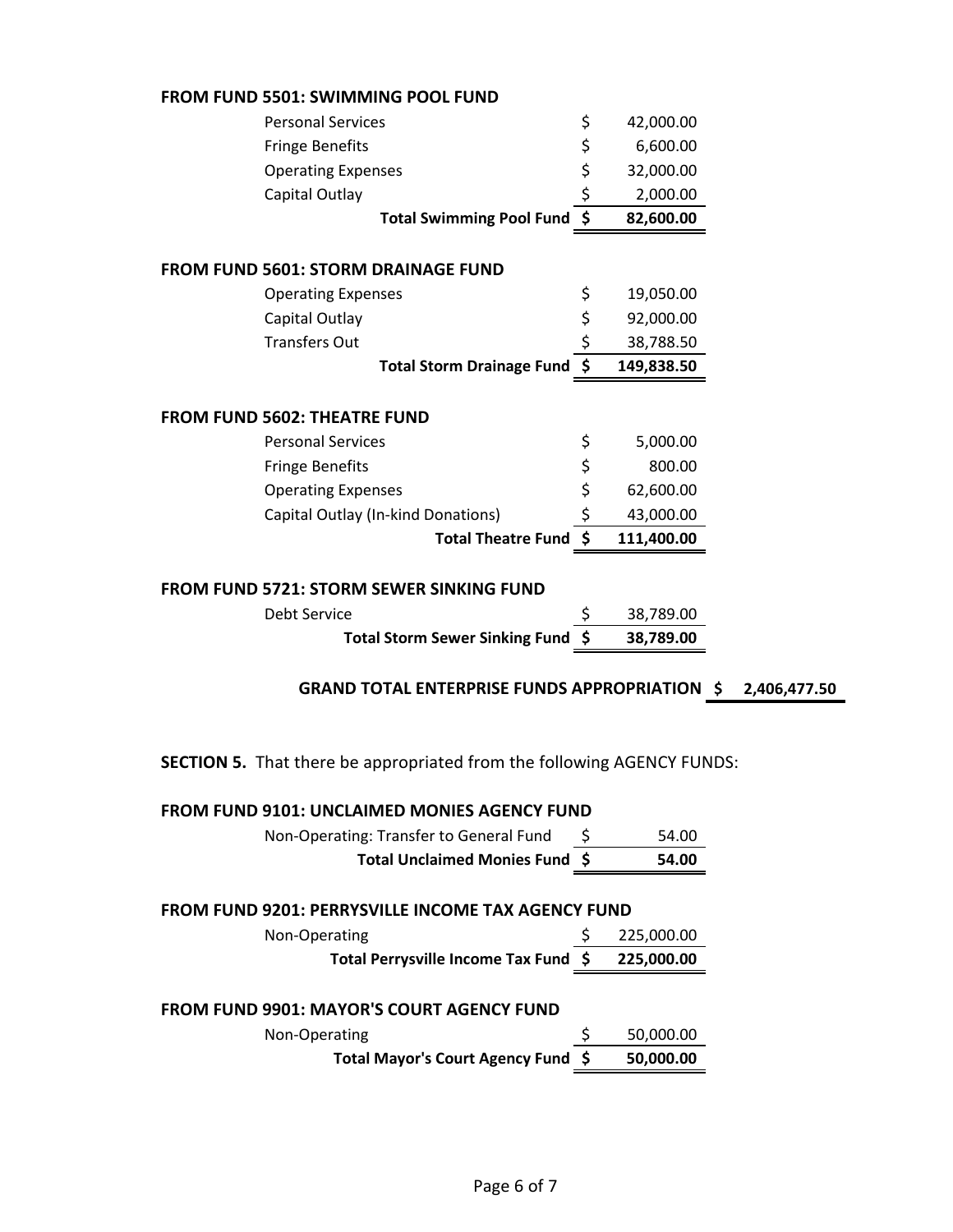|  |  | <b>FROM FUND 5501: SWIMMING POOL FUND</b> |  |  |
|--|--|-------------------------------------------|--|--|
|--|--|-------------------------------------------|--|--|

| <b>UNI FUND SSUI. SWININING FUUL FUND</b>                                     |                  |
|-------------------------------------------------------------------------------|------------------|
| <b>Personal Services</b>                                                      | \$<br>42,000.00  |
| <b>Fringe Benefits</b>                                                        | \$<br>6,600.00   |
| <b>Operating Expenses</b>                                                     | \$<br>32,000.00  |
| Capital Outlay                                                                | \$<br>2,000.00   |
| <b>Total Swimming Pool Fund</b>                                               | \$<br>82,600.00  |
| <b>FROM FUND 5601: STORM DRAINAGE FUND</b>                                    |                  |
| <b>Operating Expenses</b>                                                     | \$<br>19,050.00  |
| Capital Outlay                                                                | \$<br>92,000.00  |
| <b>Transfers Out</b>                                                          | \$<br>38,788.50  |
| <b>Total Storm Drainage Fund</b>                                              | \$<br>149,838.50 |
| <b>FROM FUND 5602: THEATRE FUND</b>                                           |                  |
| <b>Personal Services</b>                                                      | \$<br>5,000.00   |
| <b>Fringe Benefits</b>                                                        | \$<br>800.00     |
| <b>Operating Expenses</b>                                                     | \$<br>62,600.00  |
| Capital Outlay (In-kind Donations)                                            | \$<br>43,000.00  |
| Total Theatre Fund \$                                                         | 111,400.00       |
| <b>FROM FUND 5721: STORM SEWER SINKING FUND</b>                               |                  |
| <b>Debt Service</b>                                                           | \$<br>38,789.00  |
| <b>Total Storm Sewer Sinking Fund</b>                                         | \$<br>38,789.00  |
| <b>GRAND TOTAL ENTERPRISE FUNDS APPROPRIATION \$</b>                          |                  |
| <b>SECTION 5.</b> That there be appropriated from the following AGENCY FUNDS: |                  |
| FROM FUND 9101: UNCLAIMED MONIES AGENCY FUND                                  |                  |
| Non-Operating: Transfer to General Fund                                       | 54.00            |
| Total Unclaimed Monies Fund \$                                                | 54.00            |
| <b>FROM FUND 9201: PERRYSVILLE INCOME TAX AGENCY FUND</b>                     |                  |
| Non-Operating                                                                 | \$<br>225,000.00 |
| Total Perrysville Income Tax Fund \$                                          | 225,000.00       |
|                                                                               |                  |

**\$ 2,406,477.50**

# **FROM FUND 9901: MAYOR'S COURT AGENCY FUND**

| Non-Operating                      | 50,000.00 |
|------------------------------------|-----------|
| Total Mayor's Court Agency Fund \$ | 50,000.00 |